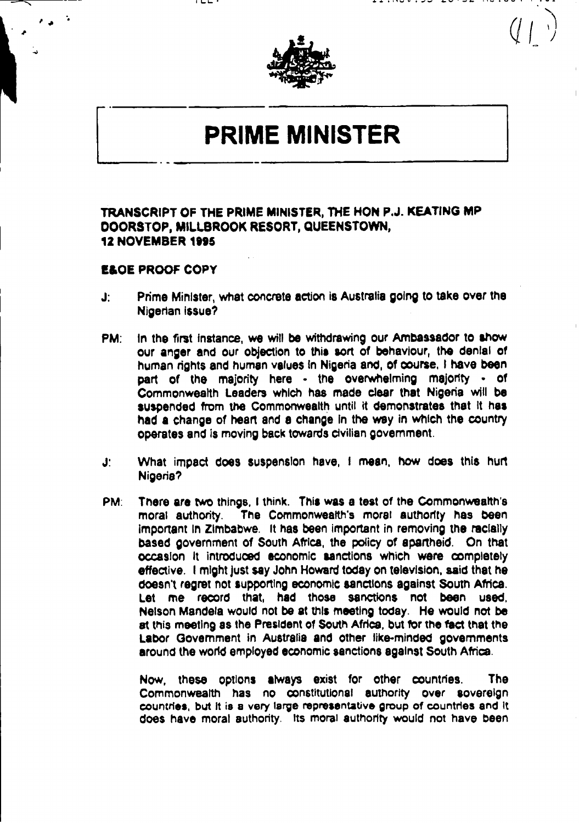

## **PRIME MINISTER**

## **TRANSCRIPT OF THE PRIME MINISTER, THE HON P.J. KEATING MP DOORSTOP, MILLBROOK RESORT, QUEENSTOWN, 12 NOVEMBER 1995**

## **ElOE PROOF COPY**

- Prime Minister, what concrete action is Australia going to take over the  $J$ : Nigerian Issue?
- PM: In the first instance, we will be withdrawing our Ambassador to show our anger **and** our objection to **this** sort of behaviour, the denial **of** human rights and human values In Nigeria and, **of** course, **I** have been part of the majority here - the overwhelming majority - of Commonwealth Leaders which has made clear that Nigeria will **be** suspended from the Commonwealth until it demonstrates that it has had a change of heart and **a** change In the way in which the country Operates and is moving back towards civilian government.
- **J,** What impact does suspension have, **I** mean, how does this hurt J. Nigeria?
- PM: There are two things, **I** think. This was a test of the Commonweafth's moral authority. The Commonwealth's moral authority has been Important in Zimbabwe. It has been important in removing the racially based government of South Africa, the policy of apartheid. On that occasion It introduced economic sanctions which were completely effective. **I** might just **say** John Howard today on television, said that he doesn't regret not Supporting economic sanctions against South Africa. Let me record that, **had** those sanctions not been used, Nelson Mandela would not **be** at **this** meeting today. He would not **be at** this meeting as the President of South Africa, but for the fact that the Labor Government in Australia and other like-minded governments around the world employed economic sanctions against South Africa.

Now, these opions **always** exist for other countries. The Commonwealth has no constitutional authority over sovereign countries, but it is **a** very large representative group of countries and It does have moral authority. Its moral authority would not have been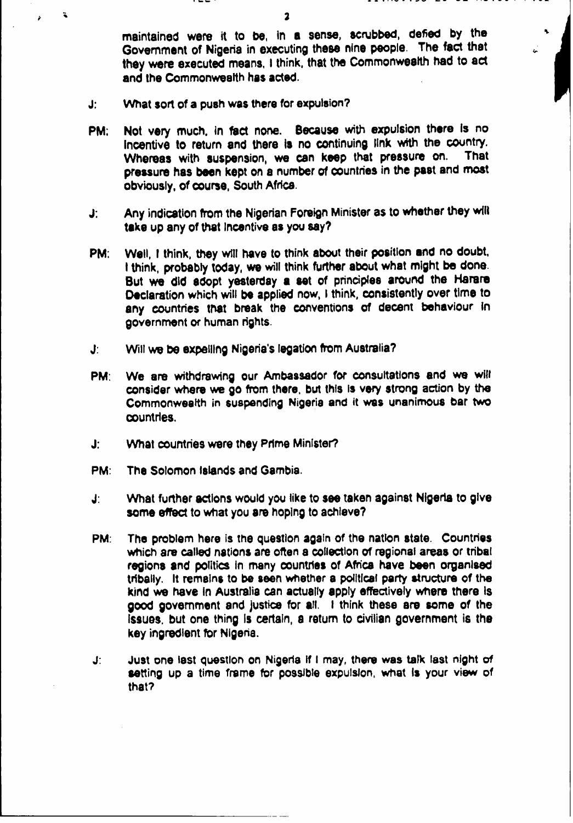maintained were it to **be,** In **a** sense, scrubbed, defied **by** the Government of Nigeria in executing these nine people. The fact that they were executed means, **I** think, that the Commonwealth had to act and the Commonwealth has acted.

- What sort of a push was there for expulsion? J:
- PM; Not very much, in fact none. Because with expulsion there is no Incentive to return and there is no continuing link with the country.<br>Whereas with suspension we can keep that pressure on. That Whereas with suspension, we can keep that pressure on. pressure has been kept on **a** number of Countries in the past and most obviously, of **course,** South Africa.
- Any indication from the Nigerian Foreign Minister as to whether they will J: take up any of that Incentive as you say?
- PM: Well, I think, they will have to think about their position and no doubt, **I** think, probably today, we will think further about what might **be** done. But we did adopt yesterday a set of principles around the Harare Declaration which will **be** applied now, **I** think, consistently over time to any Countries that break the conventions **of** decent behaviour In government or human rights.
- $\mathbf{J}$ : **J:** Will we **be** expelling Nigeria's legation from Australia?
- PM: We are withdrawing our Ambassador for consultations and we will consider where we go from there, but this Is **very** strong action **by** the Commonwealth in suspending Nigeria and it wes unanimous bar two countries.
- J: **J:** What countries were they Prime Minister?
- PM: The Solomon Islands and Gambia.
- What further actions would you like to see taken against Nigeria to give J: some effect to what you are hoping to achieve?
- **PM:** The problem here is the question again of the nation state. Countries which are called nations are often a collection of regional areas or tribal regions and politics in many countries of Africa have been organised tribally. It remains to **be** aeon whether **a** poltical party structure of the kind we have In Australia can actually **apply** effectively wtiere there Is **good** government and justice for **all. I** think these are some of the Issues, but one thing Is certain, **a** return to ciiian government is the key ingredient for Nigeria.
- Just one last question on Nigeria if I may, there was talk last night of  $J$ : setting up **a** time frame for possible expulsion, what **Is** your view of that?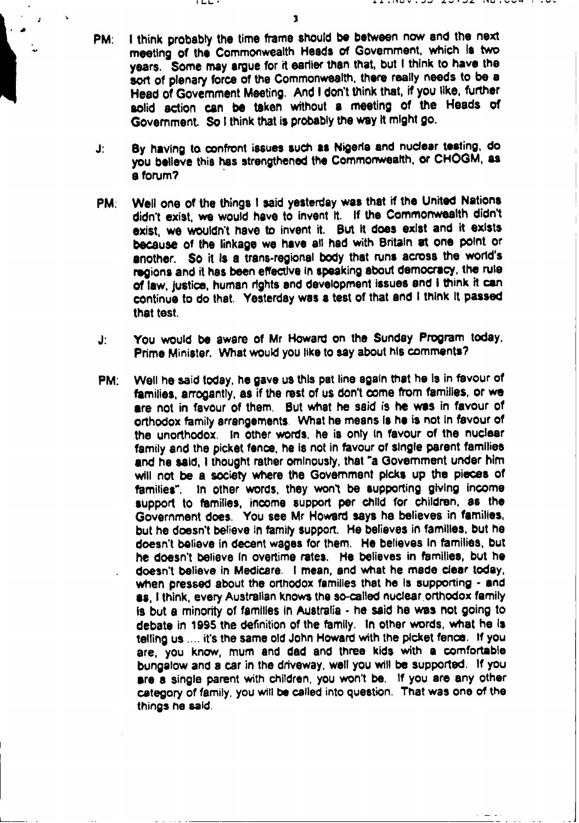**3**

**ILL-**

- **PM: I** think probably the time frame should **be** between now and the next meeting of the Commonwealth Heads of Government, which **Is** two years. Some may **argue** for **it** earlier than that, but I think to have the sort of plenary force of the Commonwealth, there really needs to **be** a **Head** of Government Meeting. And **I** don't think that, **if** you like, further solid action can **be** taken without a meeting of the Heads of Government. So **I** think that is probably the way **it** might go.
- **J: By** having to confront issues such **as** Nigeria and nuclear testing, do you believe this has strengthened the Commonwealth. or **CHOGM, as** a forum?
- PM. Well one of the things **I** said yesterday was that if the United Nations didn't exist, we would have to invent **it. If** the Commonwealth didn't exist, we wouldn't have to invent it. **But it** does exist and it exists because of the linkage we have **all had** with Britain **at** one point or another. **So** it Is a trans-regional body that runs across the world's regions and it has been effective in speaking about democracy, the rule of law, justice, human rights and development issues end **I** think it can continue to do that. Yesterday was a test of that **and I** think It passed that test.
- **J:** You would **be** aware of Mr Howard on the Sunday Program today, Prime Minister. What would **you** like to say about his comments?
- PM: Well he said today, he gave us this pat line again that he **Is** in favour of families, arrogantly, **as** if the rest of us don't come from families, or we **are** not in favour of them. But what he said is he was in favour of orthodox family arrangements. What he means **Is he** is not in favour of the unorthodox. In other words, he is only in favour of the nuclear family and the picket fence, he is not in favour of single parent families and he **said, I** thought rather ominously, that "a Government under him will not be a society where the Government picks up the pieces of families". In other words, they won't be supporting giving income **support** to families, income support per **child** for children, as the Government does. You **see** Mr Howard says he believes in families, but he doesn't believe In family support. He believes in families, but he doesn't believe in decent wages for them. **He** believes in families, but he doesn't believe In overtime **rates.** He believes in families, but he doesn't believe in Medicare. **I** mean, and what he made **clear** today, when pressed about the orthodox families that he is supporting **and as, I** think, every Australian knows the so-called nuclear.orthodox family is but a minority of families in Australia - he said he was not going to debate in **1995** the definition of the family. In other words, what he Is telling us it's the same old John Howard with the picket fence. **If** you are, you know, mum and **dad** and three kids with a comfortable bungalow and **a** car in the driveway, **well** you will **be** supported. **If** you **are a** single parent with children, you won't **be. If** you are any other category of family, you will **be** called into question. That **was** one of the things **he** said.